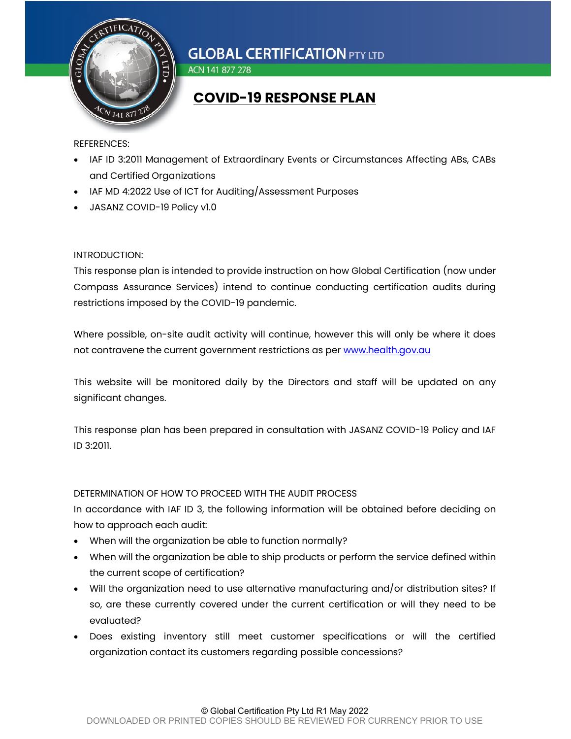

ACN 141 877 278

### COVID-19 RESPONSE PLAN

#### REFERENCES:

- IAF ID 3:2011 Management of Extraordinary Events or Circumstances Affecting ABs, CABs and Certified Organizations
- IAF MD 4:2022 Use of ICT for Auditing/Assessment Purposes
- JASANZ COVID-19 Policy v1.0

#### INTRODUCTION:

This response plan is intended to provide instruction on how Global Certification (now under Compass Assurance Services) intend to continue conducting certification audits during restrictions imposed by the COVID-19 pandemic.

Where possible, on-site audit activity will continue, however this will only be where it does not contravene the current government restrictions as per www.health.gov.au

This website will be monitored daily by the Directors and staff will be updated on any significant changes.

This response plan has been prepared in consultation with JASANZ COVID-19 Policy and IAF ID 3:2011.

### DETERMINATION OF HOW TO PROCEED WITH THE AUDIT PROCESS

In accordance with IAF ID 3, the following information will be obtained before deciding on how to approach each audit:

- When will the organization be able to function normally?
- When will the organization be able to ship products or perform the service defined within the current scope of certification?
- Will the organization need to use alternative manufacturing and/or distribution sites? If so, are these currently covered under the current certification or will they need to be evaluated?
- Does existing inventory still meet customer specifications or will the certified organization contact its customers regarding possible concessions?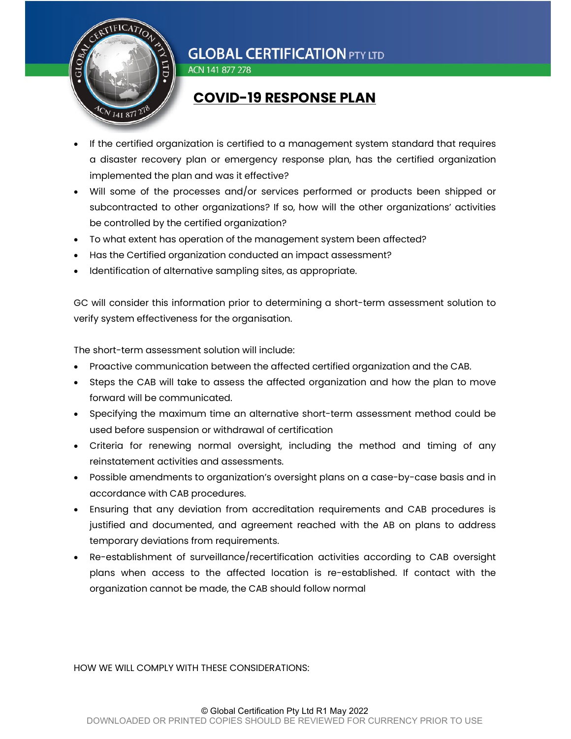

ACN 141 877 278

### COVID-19 RESPONSE PLAN

- If the certified organization is certified to a management system standard that requires a disaster recovery plan or emergency response plan, has the certified organization implemented the plan and was it effective?
- Will some of the processes and/or services performed or products been shipped or subcontracted to other organizations? If so, how will the other organizations' activities be controlled by the certified organization?
- To what extent has operation of the management system been affected?
- Has the Certified organization conducted an impact assessment?
- Identification of alternative sampling sites, as appropriate.

GC will consider this information prior to determining a short-term assessment solution to verify system effectiveness for the organisation.

The short-term assessment solution will include:

- Proactive communication between the affected certified organization and the CAB.
- Steps the CAB will take to assess the affected organization and how the plan to move forward will be communicated.
- Specifying the maximum time an alternative short-term assessment method could be used before suspension or withdrawal of certification
- Criteria for renewing normal oversight, including the method and timing of any reinstatement activities and assessments.
- Possible amendments to organization's oversight plans on a case-by-case basis and in accordance with CAB procedures.
- Ensuring that any deviation from accreditation requirements and CAB procedures is justified and documented, and agreement reached with the AB on plans to address temporary deviations from requirements.
- Re-establishment of surveillance/recertification activities according to CAB oversight plans when access to the affected location is re-established. If contact with the organization cannot be made, the CAB should follow normal

#### HOW WE WILL COMPLY WITH THESE CONSIDERATIONS: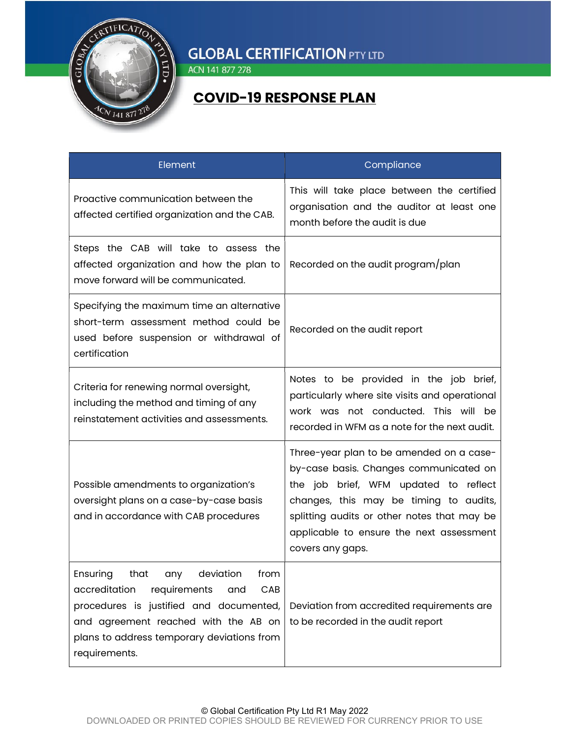

ACN 141 877 278

### COVID-19 RESPONSE PLAN

| Element                                                                                                                                                                                                                                       | Compliance                                                                                                                                                                                                                                                                           |
|-----------------------------------------------------------------------------------------------------------------------------------------------------------------------------------------------------------------------------------------------|--------------------------------------------------------------------------------------------------------------------------------------------------------------------------------------------------------------------------------------------------------------------------------------|
| Proactive communication between the<br>affected certified organization and the CAB.                                                                                                                                                           | This will take place between the certified<br>organisation and the auditor at least one<br>month before the qudit is due                                                                                                                                                             |
| Steps the CAB will take to assess the<br>affected organization and how the plan to<br>move forward will be communicated.                                                                                                                      | Recorded on the audit program/plan                                                                                                                                                                                                                                                   |
| Specifying the maximum time an alternative<br>short-term assessment method could be<br>used before suspension or withdrawal of<br>certification                                                                                               | Recorded on the audit report                                                                                                                                                                                                                                                         |
| Criteria for renewing normal oversight,<br>including the method and timing of any<br>reinstatement activities and assessments.                                                                                                                | Notes to be provided in the job brief,<br>particularly where site visits and operational<br>work was not conducted. This will be<br>recorded in WFM as a note for the next audit.                                                                                                    |
| Possible amendments to organization's<br>oversight plans on a case-by-case basis<br>and in accordance with CAB procedures                                                                                                                     | Three-year plan to be amended on a case-<br>by-case basis. Changes communicated on<br>the job brief, WFM updated to reflect<br>changes, this may be timing to audits,<br>splitting audits or other notes that may be<br>applicable to ensure the next assessment<br>covers any gaps. |
| Ensuring<br>that<br>any<br>deviation<br>from<br>accreditation<br>requirements<br>CAB<br>and<br>procedures is justified and documented,<br>and agreement reached with the AB on<br>plans to address temporary deviations from<br>requirements. | Deviation from accredited requirements are<br>to be recorded in the audit report                                                                                                                                                                                                     |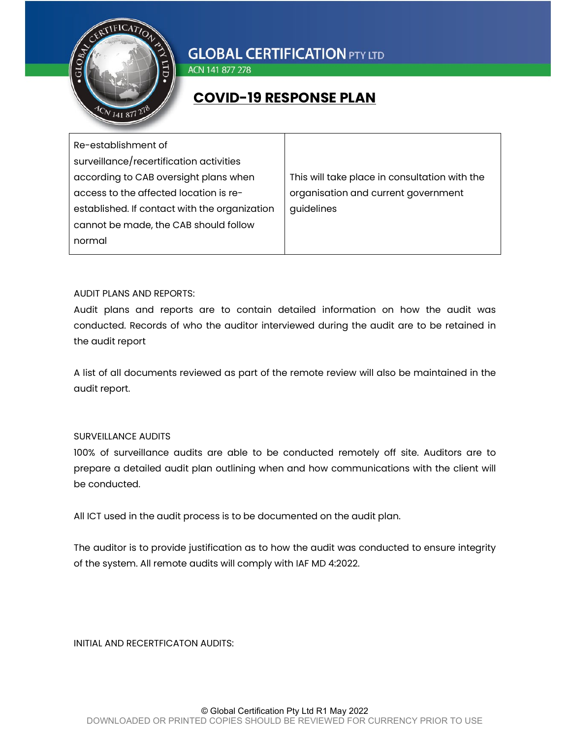

ACN 141 877 278

### COVID-19 RESPONSE PLAN

| Re-establishment of                           |                                               |
|-----------------------------------------------|-----------------------------------------------|
| surveillance/recertification activities       |                                               |
| according to CAB oversight plans when         | This will take place in consultation with the |
| access to the affected location is re-        | organisation and current government           |
| established. If contact with the organization | guidelines                                    |
| cannot be made, the CAB should follow         |                                               |
| normal                                        |                                               |

#### AUDIT PLANS AND REPORTS:

Audit plans and reports are to contain detailed information on how the audit was conducted. Records of who the auditor interviewed during the audit are to be retained in the audit report

A list of all documents reviewed as part of the remote review will also be maintained in the audit report.

### SURVEILLANCE AUDITS

100% of surveillance audits are able to be conducted remotely off site. Auditors are to prepare a detailed audit plan outlining when and how communications with the client will be conducted.

All ICT used in the audit process is to be documented on the audit plan.

The auditor is to provide justification as to how the audit was conducted to ensure integrity of the system. All remote audits will comply with IAF MD 4:2022.

INITIAL AND RECERTFICATON AUDITS: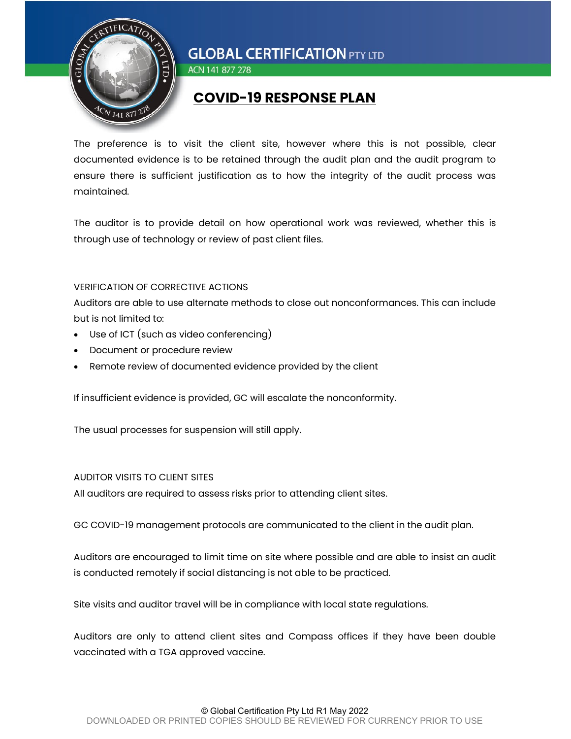

ACN 141 877 278

### COVID-19 RESPONSE PLAN

The preference is to visit the client site, however where this is not possible, clear documented evidence is to be retained through the audit plan and the audit program to ensure there is sufficient justification as to how the integrity of the audit process was maintained.

The auditor is to provide detail on how operational work was reviewed, whether this is through use of technology or review of past client files.

### VERIFICATION OF CORRECTIVE ACTIONS

Auditors are able to use alternate methods to close out nonconformances. This can include but is not limited to:

- Use of ICT (such as video conferencing)
- Document or procedure review
- Remote review of documented evidence provided by the client

If insufficient evidence is provided, GC will escalate the nonconformity.

The usual processes for suspension will still apply.

### AUDITOR VISITS TO CLIENT SITES

All auditors are required to assess risks prior to attending client sites.

GC COVID-19 management protocols are communicated to the client in the audit plan.

Auditors are encouraged to limit time on site where possible and are able to insist an audit is conducted remotely if social distancing is not able to be practiced.

Site visits and auditor travel will be in compliance with local state regulations.

Auditors are only to attend client sites and Compass offices if they have been double vaccinated with a TGA approved vaccine.